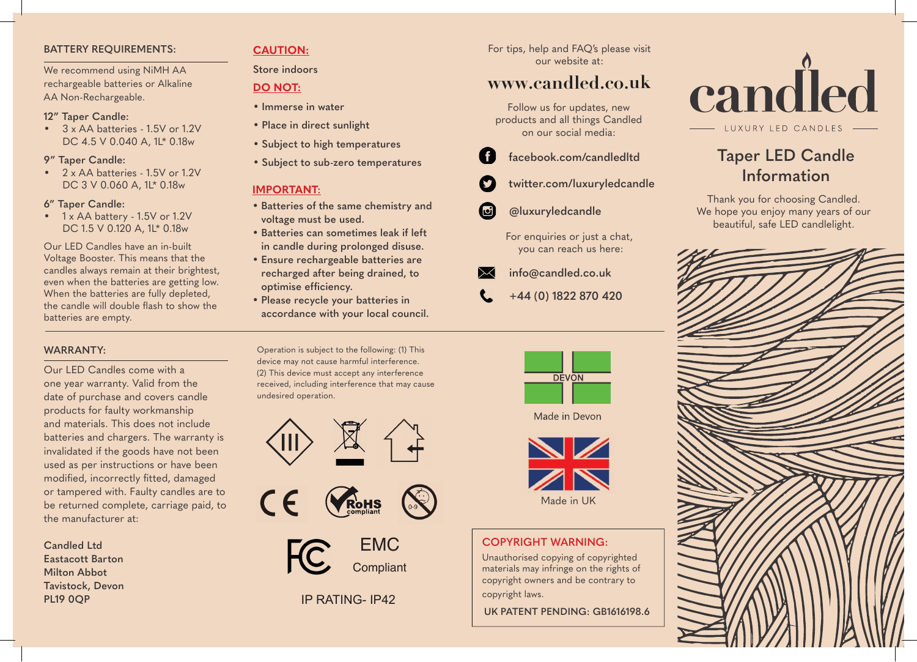#### **BATTERY REQUIREMENTS:**

We recommend using NiMH AA rechargeable batteries or Alkaline AA Non-Rechargeable.

### **12" Taper Candle:**

• 3 x AA batteries - 1.5V or 1.2V DC 4.5 V 0.040 A, 1L\* 0.18w

## **9" Taper Candle:**

• 2 x AA batteries - 1.5V or 1.2V DC 3 V 0.060 A, 1L\* 0.18w

## **6" Taper Candle:**

• 1 x AA battery - 1.5V or 1.2V DC 1.5 V 0.120 A, 1L\* 0.18w

Our LED Candles have an in-built Voltage Booster. This means that the candles always remain at their brightest, even when the batteries are getting low. When the batteries are fully depleted, the candle will double flash to show the batteries are empty.

## **WARRANTY:**

Our LED Candles come with a one year warranty. Valid from the date of purchase and covers candle products for faulty workmanship and materials. This does not include batteries and chargers. The warranty is invalidated if the goods have not been used as per instructions or have been modified, incorrectly fitted, damaged or tampered with. Faulty candles are to be returned complete, carriage paid, to the manufacturer at:

**Candled Ltd Eastacott Barton Milton Abbot Tavistock, Devon PL19 0QP**

# **CAUTION:**

# **Store indoors**

# **DO NOT:**

- **Immerse in water**
- **Place in direct sunlight**
- **Subject to high temperatures**
- **Subject to sub-zero temperatures**

# **IMPORTANT:**

- **Batteries of the same chemistry and voltage must be used.**
- **Batteries can sometimes leak if left in candle during prolonged disuse.**
- **Ensure rechargeable batteries are recharged after being drained, to**  optimise efficiency.
- **Please recycle your batteries in accordance with your local council.**

Operation is subject to the following: (1) This device may not cause harmful interference. (2) This device must accept any interference received, including interference that may cause undesired operation.







# IP RATING- IP42

For tips, help and FAQ's please visit our website at:

# **www.candled.co.uk**

Follow us for updates, new products and all things Candled on our social media:

- **facebook.com/candledltd**
- **twitter.com/luxuryledcandle**
- **@luxuryledcandle**

For enquiries or just a chat, you can reach us here:

- **info@candled.co.uk**
- **+44 (0) 1822 870 420**







# **COPYRIGHT WARNING:**

Unauthorised copying of copyrighted materials may infringe on the rights of copyright owners and be contrary to copyright laws.

**UK PATENT PENDING: GB1616198.6**



# **Taper LED Candle Information**

Thank you for choosing Candled. We hope you enjoy many years of our beautiful, safe LED candlelight.